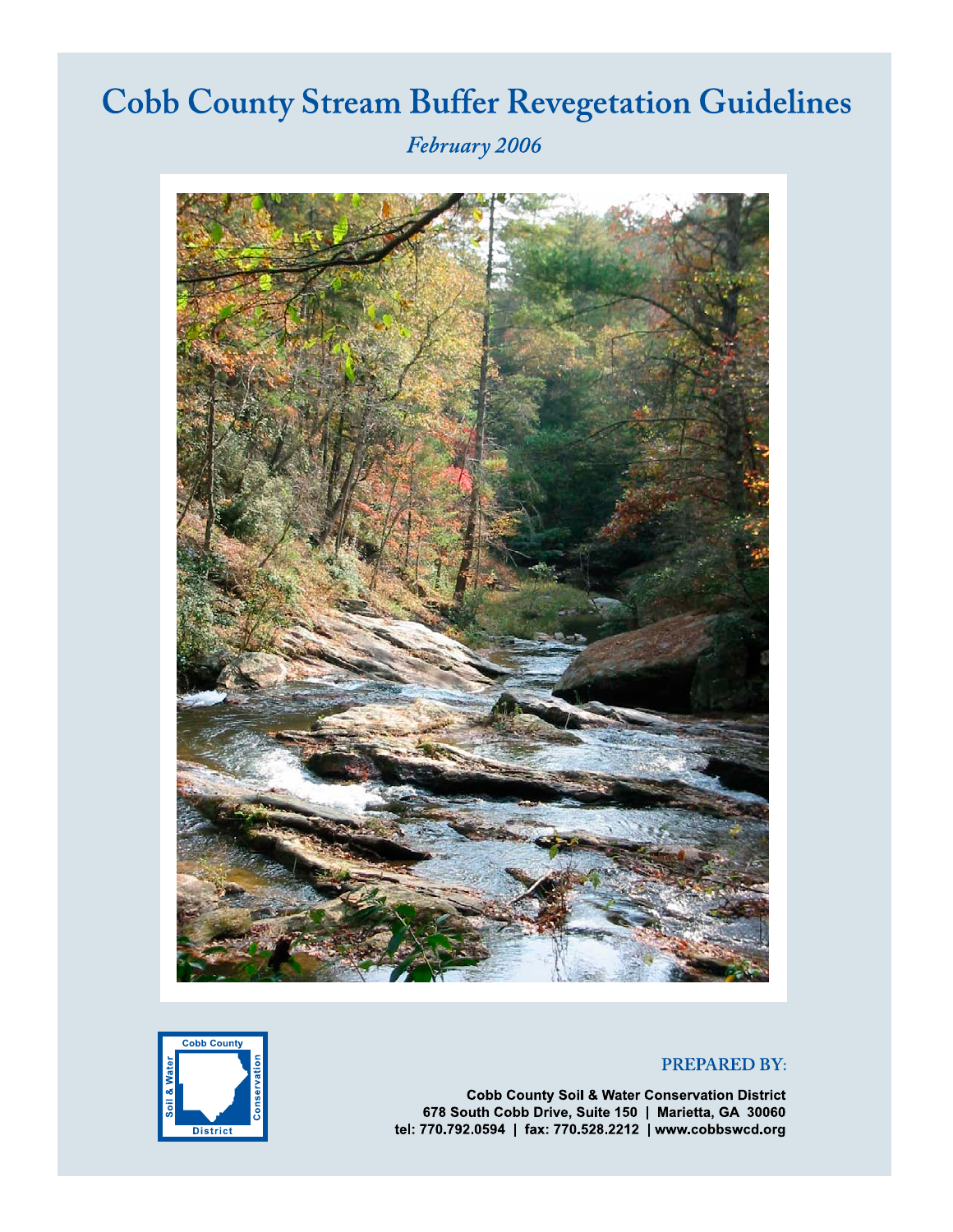# **Cobb County Stream Buffer Revegetation Guidelines**

February 2006



## **PREPARED BY:**



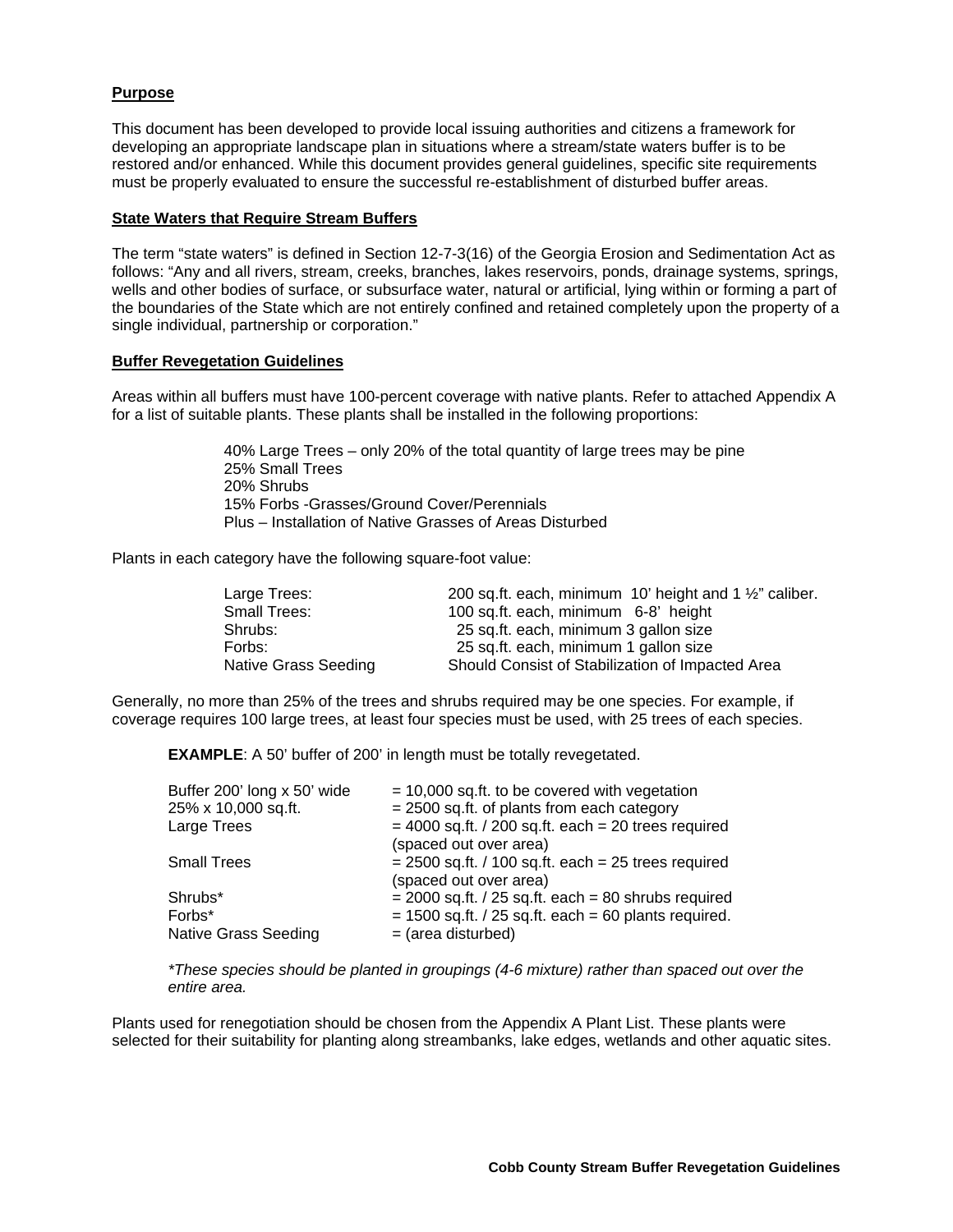## **Purpose**

This document has been developed to provide local issuing authorities and citizens a framework for developing an appropriate landscape plan in situations where a stream/state waters buffer is to be restored and/or enhanced. While this document provides general guidelines, specific site requirements must be properly evaluated to ensure the successful re-establishment of disturbed buffer areas.

#### **State Waters that Require Stream Buffers**

The term "state waters" is defined in Section 12-7-3(16) of the Georgia Erosion and Sedimentation Act as follows: "Any and all rivers, stream, creeks, branches, lakes reservoirs, ponds, drainage systems, springs, wells and other bodies of surface, or subsurface water, natural or artificial, lying within or forming a part of the boundaries of the State which are not entirely confined and retained completely upon the property of a single individual, partnership or corporation."

#### **Buffer Revegetation Guidelines**

Areas within all buffers must have 100-percent coverage with native plants. Refer to attached Appendix A for a list of suitable plants. These plants shall be installed in the following proportions:

> 40% Large Trees – only 20% of the total quantity of large trees may be pine 25% Small Trees 20% Shrubs 15% Forbs -Grasses/Ground Cover/Perennials Plus – Installation of Native Grasses of Areas Disturbed

Plants in each category have the following square-foot value:

| Large Trees:         | 200 sq.ft. each, minimum 10' height and 1 $\frac{1}{2}$ " caliber. |
|----------------------|--------------------------------------------------------------------|
| Small Trees:         | 100 sq.ft. each, minimum 6-8' height                               |
| Shrubs:              | 25 sq.ft. each, minimum 3 gallon size                              |
| Forbs:               | 25 sq.ft. each, minimum 1 gallon size                              |
| Native Grass Seeding | Should Consist of Stabilization of Impacted Area                   |

Generally, no more than 25% of the trees and shrubs required may be one species. For example, if coverage requires 100 large trees, at least four species must be used, with 25 trees of each species.

**EXAMPLE**: A 50' buffer of 200' in length must be totally revegetated.

| $= 10,000$ sq.ft. to be covered with vegetation          |
|----------------------------------------------------------|
| $= 2500$ sq.ft. of plants from each category             |
| $=$ 4000 sq.ft. / 200 sq.ft. each $=$ 20 trees required  |
| (spaced out over area)                                   |
| $= 2500$ sq.ft. / 100 sq.ft. each $= 25$ trees required  |
| (spaced out over area)                                   |
| $= 2000$ sq.ft. / 25 sq.ft. each $= 80$ shrubs required  |
| $= 1500$ sq.ft. / 25 sq.ft. each $= 60$ plants required. |
| $=$ (area disturbed)                                     |
|                                                          |

*\*These species should be planted in groupings (4-6 mixture) rather than spaced out over the entire area.* 

Plants used for renegotiation should be chosen from the Appendix A Plant List. These plants were selected for their suitability for planting along streambanks, lake edges, wetlands and other aquatic sites.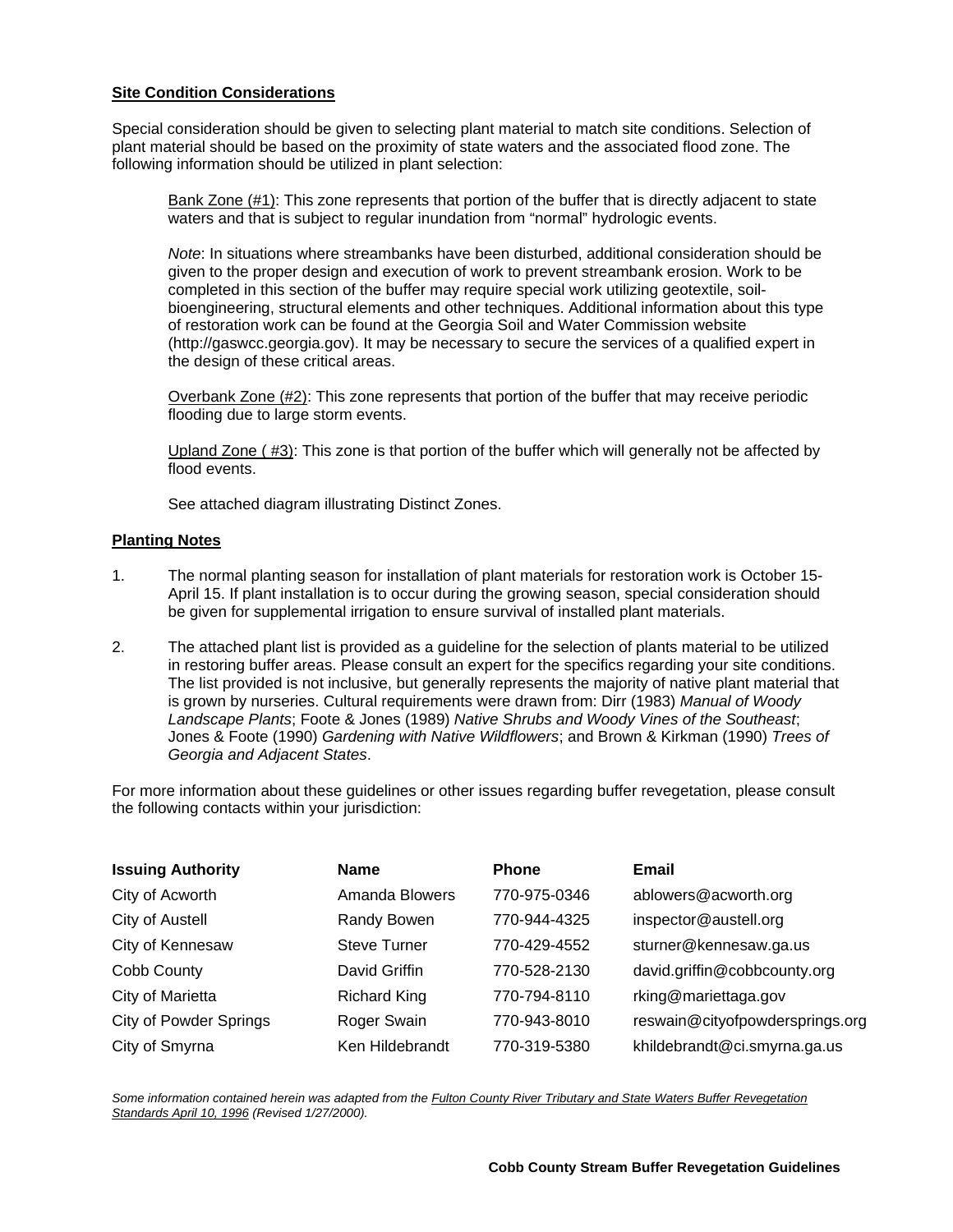### **Site Condition Considerations**

Special consideration should be given to selecting plant material to match site conditions. Selection of plant material should be based on the proximity of state waters and the associated flood zone. The following information should be utilized in plant selection:

Bank Zone (#1): This zone represents that portion of the buffer that is directly adjacent to state waters and that is subject to regular inundation from "normal" hydrologic events.

*Note*: In situations where streambanks have been disturbed, additional consideration should be given to the proper design and execution of work to prevent streambank erosion. Work to be completed in this section of the buffer may require special work utilizing geotextile, soilbioengineering, structural elements and other techniques. Additional information about this type of restoration work can be found at the Georgia Soil and Water Commission website (http://gaswcc.georgia.gov). It may be necessary to secure the services of a qualified expert in the design of these critical areas.

Overbank Zone (#2): This zone represents that portion of the buffer that may receive periodic flooding due to large storm events.

Upland Zone ( #3): This zone is that portion of the buffer which will generally not be affected by flood events.

See attached diagram illustrating Distinct Zones.

#### **Planting Notes**

- 1. The normal planting season for installation of plant materials for restoration work is October 15- April 15. If plant installation is to occur during the growing season, special consideration should be given for supplemental irrigation to ensure survival of installed plant materials.
- 2. The attached plant list is provided as a guideline for the selection of plants material to be utilized in restoring buffer areas. Please consult an expert for the specifics regarding your site conditions. The list provided is not inclusive, but generally represents the majority of native plant material that is grown by nurseries. Cultural requirements were drawn from: Dirr (1983) *Manual of Woody Landscape Plants*; Foote & Jones (1989) *Native Shrubs and Woody Vines of the Southeast*; Jones & Foote (1990) *Gardening with Native Wildflowers*; and Brown & Kirkman (1990) *Trees of Georgia and Adjacent States*.

For more information about these guidelines or other issues regarding buffer revegetation, please consult the following contacts within your jurisdiction:

| <b>Issuing Authority</b>      | <b>Name</b>           | <b>Phone</b> | Email                           |
|-------------------------------|-----------------------|--------------|---------------------------------|
| City of Acworth               | <b>Amanda Blowers</b> | 770-975-0346 | ablowers@acworth.org            |
| City of Austell               | Randy Bowen           | 770-944-4325 | inspector@austell.org           |
| City of Kennesaw              | <b>Steve Turner</b>   | 770-429-4552 | sturner@kennesaw.ga.us          |
| Cobb County                   | David Griffin         | 770-528-2130 | david.griffin@cobbcounty.org    |
| City of Marietta              | <b>Richard King</b>   | 770-794-8110 | rking@mariettaga.gov            |
| <b>City of Powder Springs</b> | Roger Swain           | 770-943-8010 | reswain@cityofpowdersprings.org |
| City of Smyrna                | Ken Hildebrandt       | 770-319-5380 | khildebrandt@ci.smyrna.ga.us    |

*Some information contained herein was adapted from the Fulton County River Tributary and State Waters Buffer Revegetation Standards April 10, 1996 (Revised 1/27/2000).*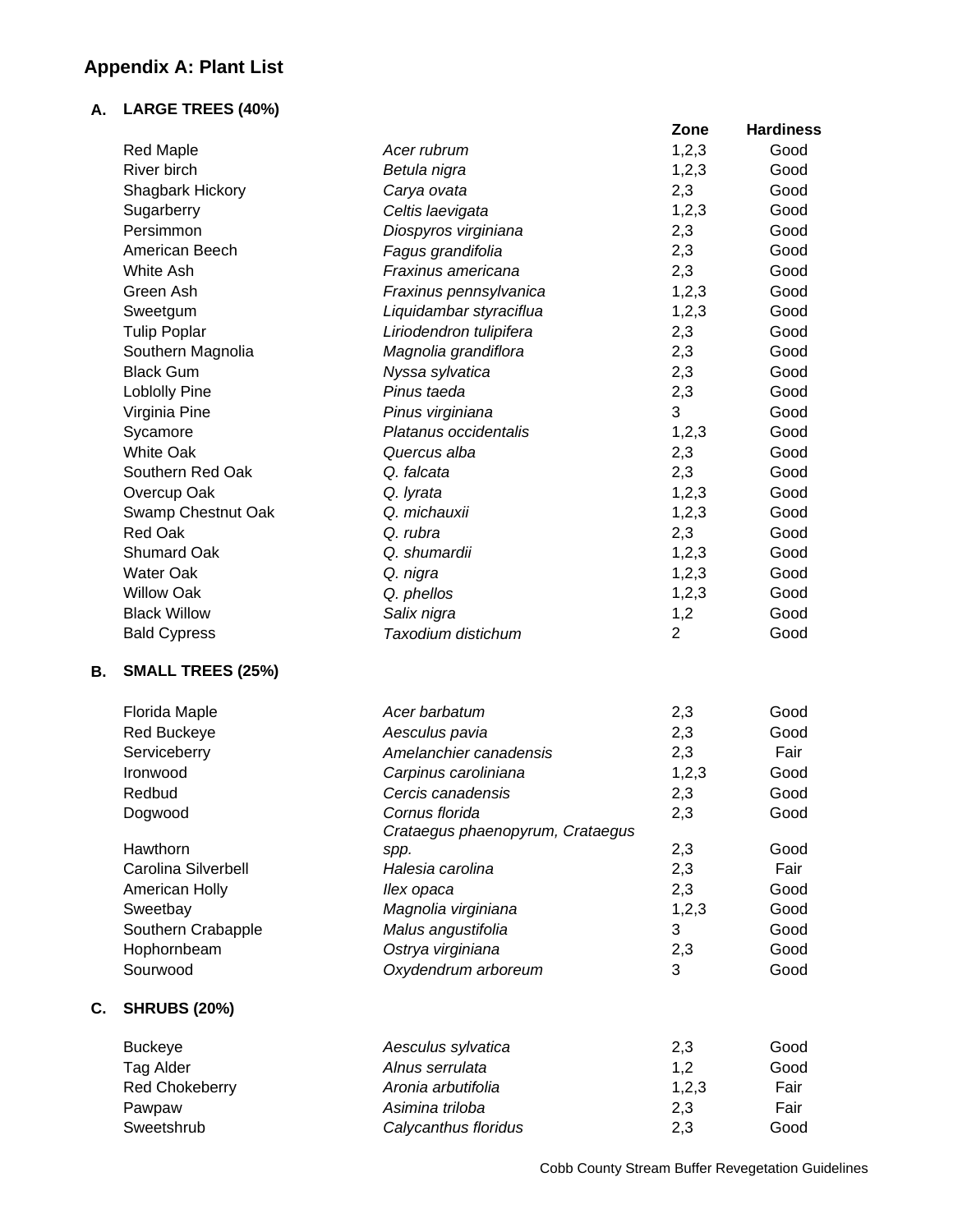## **Appendix A: Plant List**

## **A. LARGE TREES (40%)**

**C. SHRUBS (20%)** 

|    |                          |                                  | Zone           | <b>Hardiness</b> |
|----|--------------------------|----------------------------------|----------------|------------------|
|    | <b>Red Maple</b>         | Acer rubrum                      | 1,2,3          | Good             |
|    | <b>River birch</b>       | Betula nigra                     | 1,2,3          | Good             |
|    | Shagbark Hickory         | Carya ovata                      | 2,3            | Good             |
|    | Sugarberry               | Celtis laevigata                 | 1,2,3          | Good             |
|    | Persimmon                | Diospyros virginiana             | 2,3            | Good             |
|    | American Beech           | Fagus grandifolia                | 2,3            | Good             |
|    | White Ash                | Fraxinus americana               | 2,3            | Good             |
|    | Green Ash                | Fraxinus pennsylvanica           | 1,2,3          | Good             |
|    | Sweetgum                 | Liquidambar styraciflua          | 1,2,3          | Good             |
|    | <b>Tulip Poplar</b>      | Liriodendron tulipifera          | 2,3            | Good             |
|    | Southern Magnolia        | Magnolia grandiflora             | 2,3            | Good             |
|    | <b>Black Gum</b>         | Nyssa sylvatica                  | 2,3            | Good             |
|    | <b>Loblolly Pine</b>     | Pinus taeda                      | 2,3            | Good             |
|    | Virginia Pine            | Pinus virginiana                 | 3              | Good             |
|    | Sycamore                 | Platanus occidentalis            | 1,2,3          | Good             |
|    | <b>White Oak</b>         | Quercus alba                     | 2,3            | Good             |
|    | Southern Red Oak         | Q. falcata                       | 2,3            | Good             |
|    | Overcup Oak              | Q. lyrata                        | 1,2,3          | Good             |
|    | Swamp Chestnut Oak       | Q. michauxii                     | 1,2,3          | Good             |
|    | <b>Red Oak</b>           | Q. rubra                         | 2,3            | Good             |
|    | <b>Shumard Oak</b>       | Q. shumardii                     | 1,2,3          | Good             |
|    | <b>Water Oak</b>         | Q. nigra                         | 1,2,3          | Good             |
|    | <b>Willow Oak</b>        | Q. phellos                       | 1,2,3          | Good             |
|    | <b>Black Willow</b>      | Salix nigra                      | 1,2            | Good             |
|    | <b>Bald Cypress</b>      | Taxodium distichum               | $\overline{2}$ | Good             |
| В. | <b>SMALL TREES (25%)</b> |                                  |                |                  |
|    | Florida Maple            | Acer barbatum                    | 2,3            | Good             |
|    | <b>Red Buckeye</b>       | Aesculus pavia                   | 2,3            | Good             |
|    | Serviceberry             | Amelanchier canadensis           | 2,3            | Fair             |
|    | Ironwood                 | Carpinus caroliniana             | 1,2,3          | Good             |
|    | Redbud                   | Cercis canadensis                | 2,3            | Good             |
|    | Dogwood                  | Cornus florida                   | 2,3            | Good             |
|    |                          | Crataegus phaenopyrum, Crataegus |                |                  |
|    | Hawthorn                 | spp.                             | 2,3            | Good             |
|    | Carolina Silverbell      | Halesia carolina                 | 2,3            | Fair             |
|    | American Holly           | llex opaca                       | 2,3            | Good             |
|    | Sweetbay                 | Magnolia virginiana              | 1,2,3          | Good             |
|    | Southern Crabapple       | Malus angustifolia               | 3              | Good             |
|    | Hophornbeam              | Ostrya virginiana                | 2,3            | Good             |
|    | Sourwood                 | Oxydendrum arboreum              | 3              | Good             |
| C. | <b>SHRUBS (20%)</b>      |                                  |                |                  |
|    | <b>Buckeye</b>           | Aesculus sylvatica               | 2,3            | Good             |

Tag Alder *Alnus serrulata* 1,2 Good Red Chokeberry *Aronia arbutifolia* 1,2,3 Fair Pawpaw *Asimina triloba* 2,3 Fair Sweetshrub *Calycanthus floridus* 2,3 Good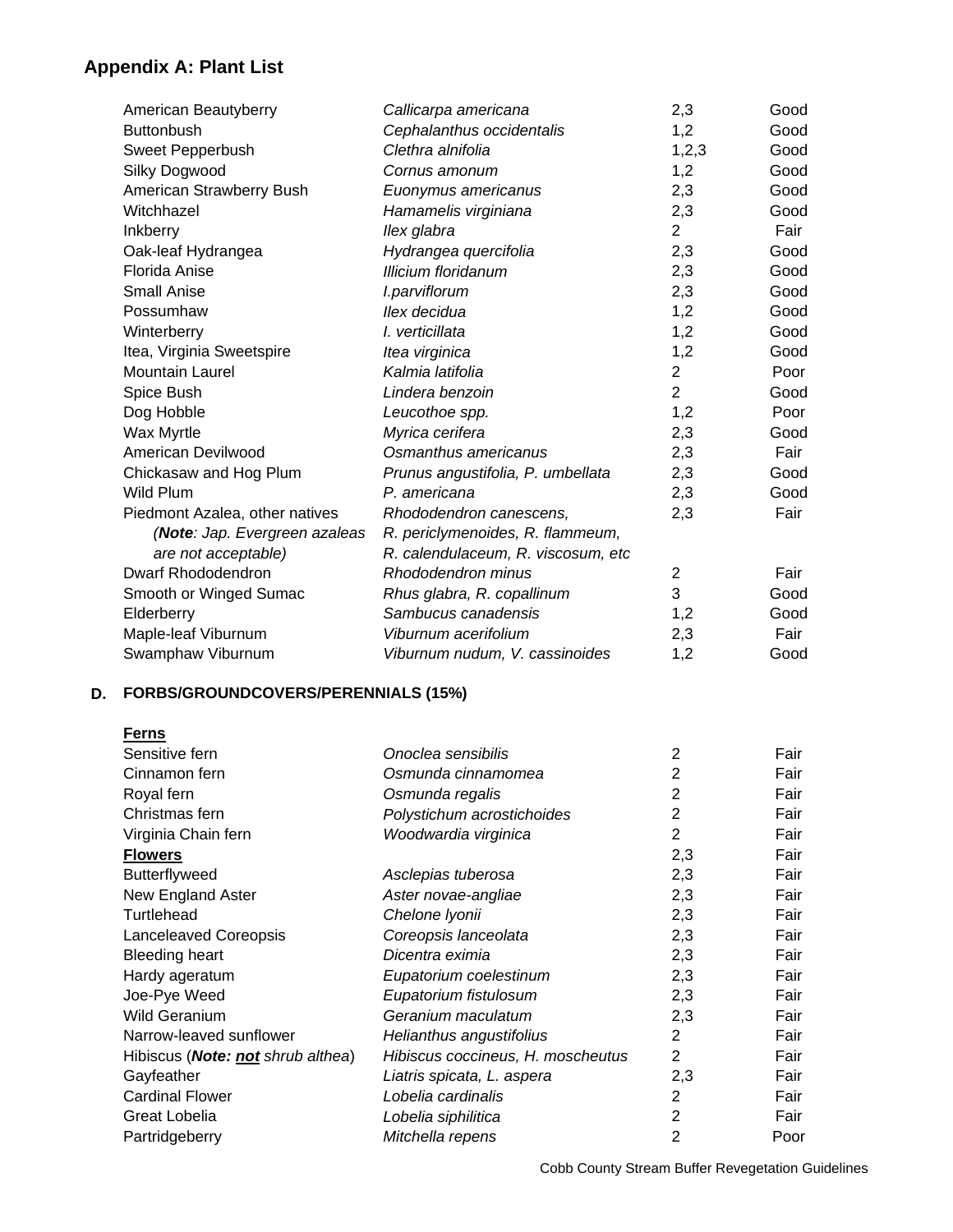## **Appendix A: Plant List**

| American Beautyberry           | Callicarpa americana               | 2,3            | Good |
|--------------------------------|------------------------------------|----------------|------|
| <b>Buttonbush</b>              | Cephalanthus occidentalis          | 1,2            | Good |
| Sweet Pepperbush               | Clethra alnifolia                  | 1,2,3          | Good |
| Silky Dogwood                  | Cornus amonum                      | 1,2            | Good |
| American Strawberry Bush       | Euonymus americanus                | 2,3            | Good |
| Witchhazel                     | Hamamelis virginiana               | 2,3            | Good |
| <b>Inkberry</b>                | llex glabra                        | $\overline{2}$ | Fair |
| Oak-leaf Hydrangea             | Hydrangea quercifolia              | 2,3            | Good |
| Florida Anise                  | <b>Illicium floridanum</b>         | 2,3            | Good |
| <b>Small Anise</b>             | I.parviflorum                      | 2,3            | Good |
| Possumhaw                      | llex decidua                       | 1,2            | Good |
| Winterberry                    | I. verticillata                    | 1,2            | Good |
| Itea, Virginia Sweetspire      | Itea virginica                     | 1,2            | Good |
| <b>Mountain Laurel</b>         | Kalmia latifolia                   | $\overline{2}$ | Poor |
| Spice Bush                     | Lindera benzoin                    | $\overline{2}$ | Good |
| Dog Hobble                     | Leucothoe spp.                     | 1,2            | Poor |
| <b>Wax Myrtle</b>              | Myrica cerifera                    | 2,3            | Good |
| American Devilwood             | Osmanthus americanus               | 2,3            | Fair |
| Chickasaw and Hog Plum         | Prunus angustifolia, P. umbellata  | 2,3            | Good |
| Wild Plum                      | P. americana                       | 2,3            | Good |
| Piedmont Azalea, other natives | Rhododendron canescens,            | 2,3            | Fair |
| (Note: Jap. Evergreen azaleas  | R. periclymenoides, R. flammeum,   |                |      |
| are not acceptable)            | R. calendulaceum, R. viscosum, etc |                |      |
| Dwarf Rhododendron             | Rhododendron minus                 | $\overline{2}$ | Fair |
| Smooth or Winged Sumac         | Rhus glabra, R. copallinum         | 3              | Good |
| Elderberry                     | Sambucus canadensis                | 1,2            | Good |
| Maple-leaf Viburnum            | Viburnum acerifolium               | 2,3            | Fair |
| Swamphaw Viburnum              | Viburnum nudum, V. cassinoides     | 1,2            | Good |

## **D. FORBS/GROUNDCOVERS/PERENNIALS (15%)**

| <u>Ferns</u>                              |                                   |                |      |
|-------------------------------------------|-----------------------------------|----------------|------|
| Sensitive fern                            | Onoclea sensibilis                | 2              | Fair |
| Cinnamon fern                             | Osmunda cinnamomea                | $\overline{2}$ | Fair |
| Royal fern                                | Osmunda regalis                   | 2              | Fair |
| Christmas fern                            | Polystichum acrostichoides        | 2              | Fair |
| Virginia Chain fern                       | Woodwardia virginica              | 2              | Fair |
| <b>Flowers</b>                            |                                   | 2,3            | Fair |
| Butterflyweed                             | Asclepias tuberosa                | 2,3            | Fair |
| New England Aster                         | Aster novae-angliae               | 2,3            | Fair |
| Turtlehead                                | Chelone Iyonii                    | 2,3            | Fair |
| Lanceleaved Coreopsis                     | Coreopsis lanceolata              | 2,3            | Fair |
| <b>Bleeding heart</b>                     | Dicentra eximia                   | 2,3            | Fair |
| Hardy ageratum                            | Eupatorium coelestinum            | 2,3            | Fair |
| Joe-Pye Weed                              | Eupatorium fistulosum             | 2,3            | Fair |
| Wild Geranium                             | Geranium maculatum                | 2,3            | Fair |
| Narrow-leaved sunflower                   | Helianthus angustifolius          | 2              | Fair |
| Hibiscus ( <b>Note: not</b> shrub althea) | Hibiscus coccineus, H. moscheutus | $\overline{2}$ | Fair |
| Gayfeather                                | Liatris spicata, L. aspera        | 2,3            | Fair |
| <b>Cardinal Flower</b>                    | Lobelia cardinalis                | 2              | Fair |
| Great Lobelia                             | Lobelia siphilitica               | 2              | Fair |
| Partridgeberry                            | Mitchella repens                  | 2              | Poor |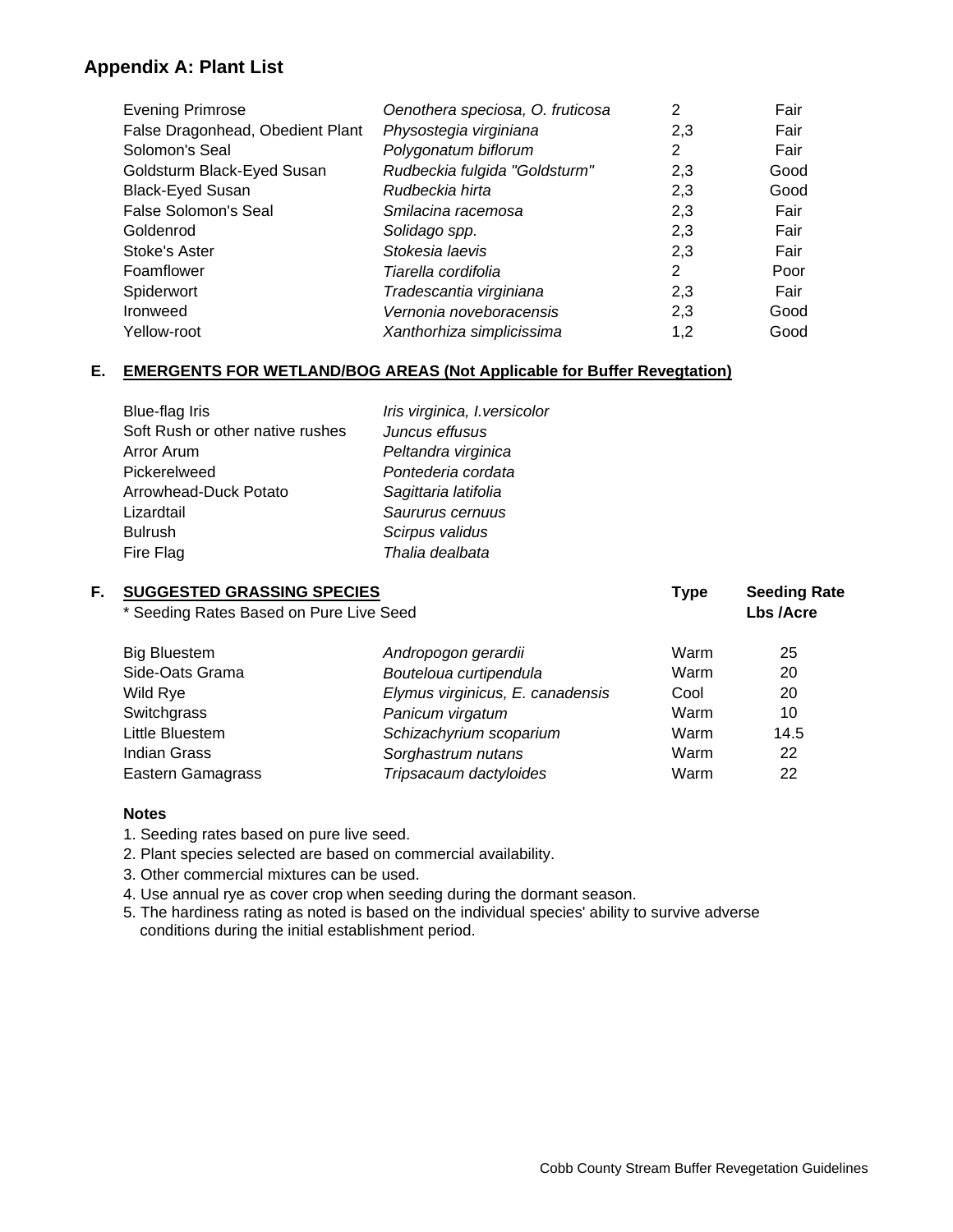## **Appendix A: Plant List**

| <b>Evening Primrose</b>          | Oenothera speciosa, O. fruticosa | 2   | Fair |
|----------------------------------|----------------------------------|-----|------|
| False Dragonhead, Obedient Plant | Physostegia virginiana           | 2,3 | Fair |
| Solomon's Seal                   | Polygonatum biflorum             | 2   | Fair |
| Goldsturm Black-Eyed Susan       | Rudbeckia fulgida "Goldsturm"    | 2,3 | Good |
| <b>Black-Eyed Susan</b>          | Rudbeckia hirta                  | 2,3 | Good |
| False Solomon's Seal             | Smilacina racemosa               | 2,3 | Fair |
| Goldenrod                        | Solidago spp.                    | 2,3 | Fair |
| Stoke's Aster                    | Stokesia laevis                  | 2,3 | Fair |
| Foamflower                       | Tiarella cordifolia              | 2   | Poor |
| Spiderwort                       | Tradescantia virginiana          | 2,3 | Fair |
| Ironweed                         | Vernonia noveboracensis          | 2,3 | Good |
| Yellow-root                      | Xanthorhiza simplicissima        | 1,2 | Good |

## **E. EMERGENTS FOR WETLAND/BOG AREAS (Not Applicable for Buffer Revegtation)**

| Blue-flag Iris                   | Iris virginica, I. versicolor |
|----------------------------------|-------------------------------|
| Soft Rush or other native rushes | Juncus effusus                |
| Arror Arum                       | Peltandra virginica           |
| Pickerelweed                     | Pontederia cordata            |
| Arrowhead-Duck Potato            | Sagittaria latifolia          |
| Lizardtail                       | Saururus cernuus              |
| <b>Bulrush</b>                   | Scirpus validus               |
| Fire Flag                        | Thalia dealbata               |
|                                  |                               |

| F. | <b>SUGGESTED GRASSING SPECIES</b>       |                                  | <b>Type</b> | <b>Seeding Rate</b> |  |
|----|-----------------------------------------|----------------------------------|-------------|---------------------|--|
|    | * Seeding Rates Based on Pure Live Seed |                                  |             | Lbs /Acre           |  |
|    | <b>Big Bluestem</b>                     | Andropogon gerardii              | Warm        | 25                  |  |
|    | Side-Oats Grama                         | Bouteloua curtipendula           | Warm        | 20                  |  |
|    | Wild Rye                                | Elymus virginicus, E. canadensis | Cool        | 20                  |  |
|    | Switchgrass                             | Panicum virgatum                 | Warm        | 10                  |  |
|    | Little Bluestem                         | Schizachyrium scoparium          | Warm        | 14.5                |  |
|    | <b>Indian Grass</b>                     | Sorghastrum nutans               | Warm        | 22                  |  |
|    | Eastern Gamagrass                       | Tripsacaum dactyloides           | Warm        | 22                  |  |
|    |                                         |                                  |             |                     |  |

### **Notes**

1. Seeding rates based on pure live seed.

2. Plant species selected are based on commercial availability.

3. Other commercial mixtures can be used.

4. Use annual rye as cover crop when seeding during the dormant season.

5. The hardiness rating as noted is based on the individual species' ability to survive adverse conditions during the initial establishment period.